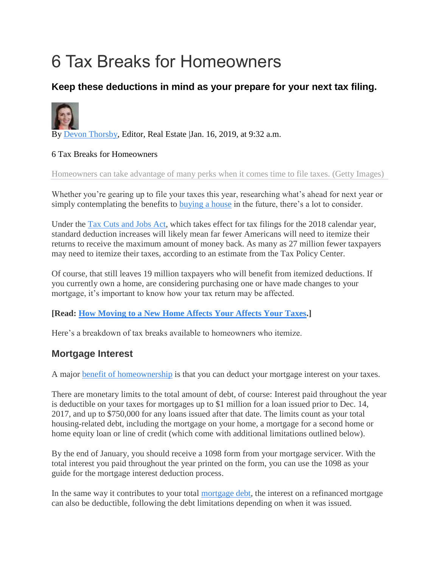# 6 Tax Breaks for Homeowners

## **Keep these deductions in mind as your prepare for your next tax filing.**



By [Devon Thorsby,](https://www.usnews.com/topics/author/devon-thorsby) Editor, Real Estate Jan. 16, 2019, at 9:32 a.m.

#### 6 Tax Breaks for Homeowners

Homeowners can take advantage of many perks when it comes time to file taxes. (Getty Images)

Whether you're gearing up to file your taxes this year, researching what's ahead for next year or simply contemplating the benefits to **[buying a house](https://realestate.usnews.com/real-estate/articles/guide-to-buying-a-home)** in the future, there's a lot to consider.

Under the [Tax Cuts and Jobs Act,](https://realestate.usnews.com/real-estate/articles/how-the-new-tax-law-will-affect-homeowners) which takes effect for tax filings for the 2018 calendar year, standard deduction increases will likely mean far fewer Americans will need to itemize their returns to receive the maximum amount of money back. As many as 27 million fewer taxpayers may need to itemize their taxes, according to an estimate from the Tax Policy Center.

Of course, that still leaves 19 million taxpayers who will benefit from itemized deductions. If you currently own a home, are considering purchasing one or have made changes to your mortgage, it's important to know how your tax return may be affected.

#### **[Read: [How Moving to a New Home Affects Your Affects Your Taxes.](https://realestate.usnews.com/real-estate/articles/how-moving-to-a-new-home-affects-your-taxes)]**

Here's a breakdown of tax breaks available to homeowners who itemize.

#### **Mortgage Interest**

A major [benefit of homeownership](https://money.usnews.com/money/retirement/aging/articles/2017-11-27/how-owning-a-home-can-help-or-hinder-your-retirement) is that you can deduct your mortgage interest on your taxes.

There are monetary limits to the total amount of debt, of course: Interest paid throughout the year is deductible on your taxes for mortgages up to \$1 million for a loan issued prior to Dec. 14, 2017, and up to \$750,000 for any loans issued after that date. The limits count as your total housing-related debt, including the mortgage on your home, a mortgage for a second home or home equity loan or line of credit (which come with additional limitations outlined below).

By the end of January, you should receive a 1098 form from your mortgage servicer. With the total interest you paid throughout the year printed on the form, you can use the 1098 as your guide for the mortgage interest deduction process.

In the same way it contributes to your total [mortgage debt,](https://realestate.usnews.com/real-estate/articles/what-will-the-housing-market-look-like-in-the-next-recession) the interest on a refinanced mortgage can also be deductible, following the debt limitations depending on when it was issued.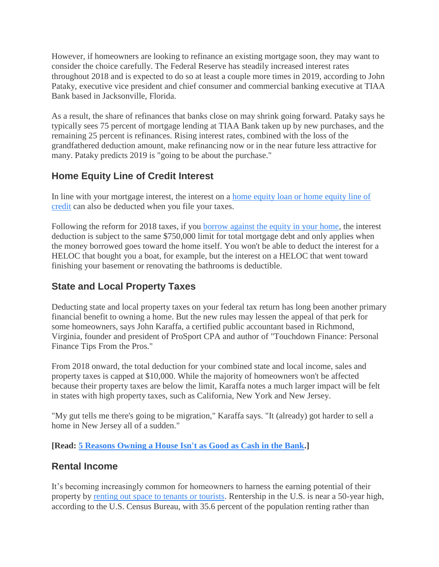However, if homeowners are looking to refinance an existing mortgage soon, they may want to consider the choice carefully. The Federal Reserve has steadily increased interest rates throughout 2018 and is expected to do so at least a couple more times in 2019, according to John Pataky, executive vice president and chief consumer and commercial banking executive at TIAA Bank based in Jacksonville, Florida.

As a result, the share of refinances that banks close on may shrink going forward. Pataky says he typically sees 75 percent of mortgage lending at TIAA Bank taken up by new purchases, and the remaining 25 percent is refinances. Rising interest rates, combined with the loss of the grandfathered deduction amount, make refinancing now or in the near future less attractive for many. Pataky predicts 2019 is "going to be about the purchase."

## **Home Equity Line of Credit Interest**

In line with your mortgage interest, the interest on a [home equity loan or home equity line of](https://loans.usnews.com/home-equity-lenders)  [credit](https://loans.usnews.com/home-equity-lenders) can also be deducted when you file your taxes.

Following the reform for 2018 taxes, if you [borrow against the equity in your home,](https://realestate.usnews.com/real-estate/articles/3-questions-to-ask-before-borrowing-against-your-home-equity) the interest deduction is subject to the same \$750,000 limit for total mortgage debt and only applies when the money borrowed goes toward the home itself. You won't be able to deduct the interest for a HELOC that bought you a boat, for example, but the interest on a HELOC that went toward finishing your basement or renovating the bathrooms is deductible.

## **State and Local Property Taxes**

Deducting state and local property taxes on your federal tax return has long been another primary financial benefit to owning a home. But the new rules may lessen the appeal of that perk for some homeowners, says John Karaffa, a certified public accountant based in Richmond, Virginia, founder and president of ProSport CPA and author of "Touchdown Finance: Personal Finance Tips From the Pros."

From 2018 onward, the total deduction for your combined state and local income, sales and property taxes is capped at \$10,000. While the majority of homeowners won't be affected because their property taxes are below the limit, Karaffa notes a much larger impact will be felt in states with high property taxes, such as California, New York and New Jersey.

"My gut tells me there's going to be migration," Karaffa says. "It (already) got harder to sell a home in New Jersey all of a sudden."

**[Read: [5 Reasons Owning a House Isn't as Good as Cash in the Bank.](https://realestate.usnews.com/real-estate/articles/5-reasons-owning-a-house-isnt-as-good-as-cash-in-the-bank)]**

#### **Rental Income**

It's becoming increasingly common for homeowners to harness the earning potential of their property by [renting out space to tenants or tourists.](https://realestate.usnews.com/real-estate/articles/why-now-may-be-the-right-time-to-add-a-new-living-space-to-your-home) Rentership in the U.S. is near a 50-year high, according to the U.S. Census Bureau, with 35.6 percent of the population renting rather than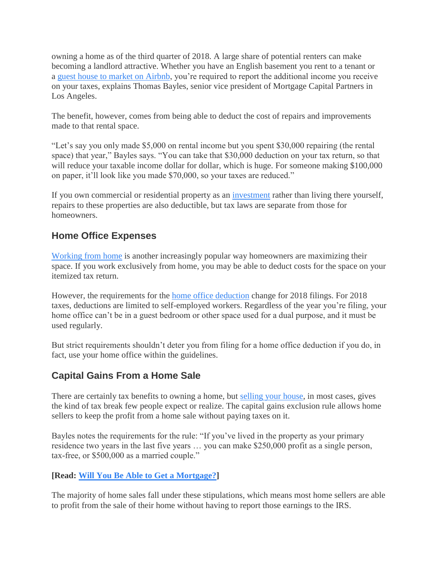owning a home as of the third quarter of 2018. A large share of potential renters can make becoming a landlord attractive. Whether you have an English basement you rent to a tenant or a [guest house to market on Airbnb,](https://realestate.usnews.com/real-estate/articles/whats-causing-the-housing-shortage-in-your-hometown) you're required to report the additional income you receive on your taxes, explains Thomas Bayles, senior vice president of Mortgage Capital Partners in Los Angeles.

The benefit, however, comes from being able to deduct the cost of repairs and improvements made to that rental space.

"Let's say you only made \$5,000 on rental income but you spent \$30,000 repairing (the rental space) that year," Bayles says. "You can take that \$30,000 deduction on your tax return, so that will reduce your taxable income dollar for dollar, which is huge. For someone making \$100,000 on paper, it'll look like you made \$70,000, so your taxes are reduced."

If you own commercial or residential property as an [investment](https://realestate.usnews.com/real-estate/articles/how-investors-can-identify-a-great-rental-property) rather than living there yourself, repairs to these properties are also deductible, but tax laws are separate from those for homeowners.

## **Home Office Expenses**

[Working from home](https://realestate.usnews.com/real-estate/slideshows/10-ways-to-create-the-perfect-office-or-study-nook-in-your-home) is another increasingly popular way homeowners are maximizing their space. If you work exclusively from home, you may be able to deduct costs for the space on your itemized tax return.

However, the requirements for the [home office](https://money.usnews.com/money/personal-finance/articles/2015/01/27/tax-prep-demystifying-the-home-office-deduction) [deduction](https://money.usnews.com/money/personal-finance/articles/2015/01/27/tax-prep-demystifying-the-home-office-deduction) change for 2018 filings. For 2018 taxes, deductions are limited to self-employed workers. Regardless of the year you're filing, your home office can't be in a guest bedroom or other space used for a dual purpose, and it must be used regularly.

But strict requirements shouldn't deter you from filing for a home office deduction if you do, in fact, use your home office within the guidelines.

# **Capital Gains From a Home Sale**

There are certainly tax benefits to owning a home, but [selling your house,](https://realestate.usnews.com/real-estate/articles/the-guide-to-selling-your-home) in most cases, gives the kind of tax break few people expect or realize. The capital gains exclusion rule allows home sellers to keep the profit from a home sale without paying taxes on it.

Bayles notes the requirements for the rule: "If you've lived in the property as your primary residence two years in the last five years … you can make \$250,000 profit as a single person, tax-free, or \$500,000 as a married couple."

#### **[Read: [Will You Be Able to Get a Mortgage?\]](https://realestate.usnews.com/real-estate/articles/will-you-be-able-to-get-a-mortgage-in-2018)**

The majority of home sales fall under these stipulations, which means most home sellers are able to profit from the sale of their home without having to report those earnings to the IRS.